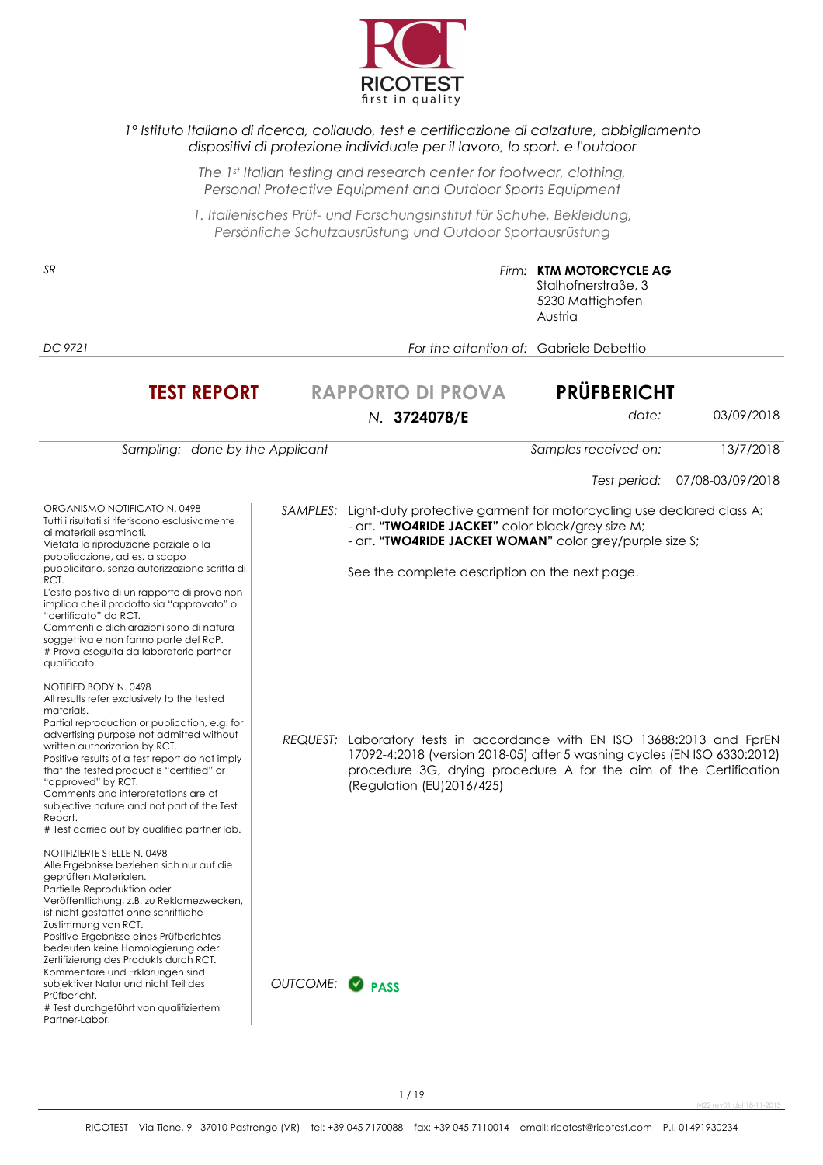

#### *1° Istituto Italiano di ricerca, collaudo, test e certificazione di calzature, abbigliamento dispositivi di protezione individuale per il lavoro, lo sport, e l'outdoor*

*The 1st Italian testing and research center for footwear, clothing, Personal Protective Equipment and Outdoor Sports Equipment* 

*1. Italienisches Prüf- und Forschungsinstitut für Schuhe, Bekleidung, Persönliche Schutzausrüstung und Outdoor Sportausrüstung*

| SR                                                                                                                                                                                                                                                                                                                                                                                                                                                                                                                             |               |                                                                                                                                                                                                                                                  | Firm: KTM MOTORCYCLE AG<br>$Stalhofnerstra\beta e, 3$<br>5230 Mattighofen<br>Austria |                  |
|--------------------------------------------------------------------------------------------------------------------------------------------------------------------------------------------------------------------------------------------------------------------------------------------------------------------------------------------------------------------------------------------------------------------------------------------------------------------------------------------------------------------------------|---------------|--------------------------------------------------------------------------------------------------------------------------------------------------------------------------------------------------------------------------------------------------|--------------------------------------------------------------------------------------|------------------|
| DC 9721                                                                                                                                                                                                                                                                                                                                                                                                                                                                                                                        |               |                                                                                                                                                                                                                                                  | For the attention of: Gabriele Debettio                                              |                  |
| <b>TEST REPORT</b>                                                                                                                                                                                                                                                                                                                                                                                                                                                                                                             |               | <b>RAPPORTO DI PROVA</b><br>N. 3724078/E                                                                                                                                                                                                         | <b>PRÜFBERICHT</b><br>date:                                                          | 03/09/2018       |
| Sampling: done by the Applicant                                                                                                                                                                                                                                                                                                                                                                                                                                                                                                |               |                                                                                                                                                                                                                                                  | Samples received on:                                                                 | 13/7/2018        |
|                                                                                                                                                                                                                                                                                                                                                                                                                                                                                                                                |               |                                                                                                                                                                                                                                                  | Test period:                                                                         | 07/08-03/09/2018 |
| ORGANISMO NOTIFICATO N. 0498<br>Tutti i risultati si riferiscono esclusivamente<br>ai materiali esaminati.<br>Vietata la riproduzione parziale o la<br>pubblicazione, ad es. a scopo<br>pubblicitario, senza autorizzazione scritta di<br>RCT.<br>L'esito positivo di un rapporto di prova non<br>implica che il prodotto sia "approvato" o<br>"certificato" da RCT.<br>Commenti e dichiarazioni sono di natura<br>soggettiva e non fanno parte del RdP.<br># Prova eseguita da laboratorio partner<br>qualificato.            |               | SAMPLES: Light-duty protective garment for motorcycling use declared class A:<br>- art. "TWO4RIDE JACKET" color black/grey size M;<br>- art. "TWO4RIDE JACKET WOMAN" color grey/purple size S;<br>See the complete description on the next page. |                                                                                      |                  |
| NOTIFIED BODY N. 0498<br>All results refer exclusively to the tested<br>materials.<br>Partial reproduction or publication, e.g. for<br>advertising purpose not admitted without<br>written authorization by RCT.<br>Positive results of a test report do not imply<br>that the tested product is "certified" or<br>"approved" by RCT.<br>Comments and interpretations are of<br>subjective nature and not part of the Test<br>Report.<br># Test carried out by qualified partner lab.                                          | REQUEST:      | Laboratory tests in accordance with EN ISO 13688:2013 and FprEN<br>17092-4:2018 (version 2018-05) after 5 washing cycles (EN ISO 6330:2012)<br>procedure 3G, drying procedure A for the aim of the Certification<br>(Regulation (EU) 2016/425)   |                                                                                      |                  |
| NOTIFIZIERTE STELLE N. 0498<br>Alle Ergebnisse beziehen sich nur auf die<br>geprüften Materialen.<br>Partielle Reproduktion oder<br>Veröffentlichung, z.B. zu Reklamezwecken,<br>ist nicht gestattet ohne schriftliche<br>Zustimmung von RCT.<br>Positive Ergebnisse eines Prüfberichtes<br>bedeuten keine Homologierung oder<br>Zertifizierung des Produkts durch RCT.<br>Kommentare und Erklärungen sind<br>subjektiver Natur und nicht Teil des<br>Prüfbericht.<br># Test durchgeführt von qualifiziertem<br>Partner-Labor. | OUTCOME: PASS |                                                                                                                                                                                                                                                  |                                                                                      |                  |

M22 rev01 del 18-11-2013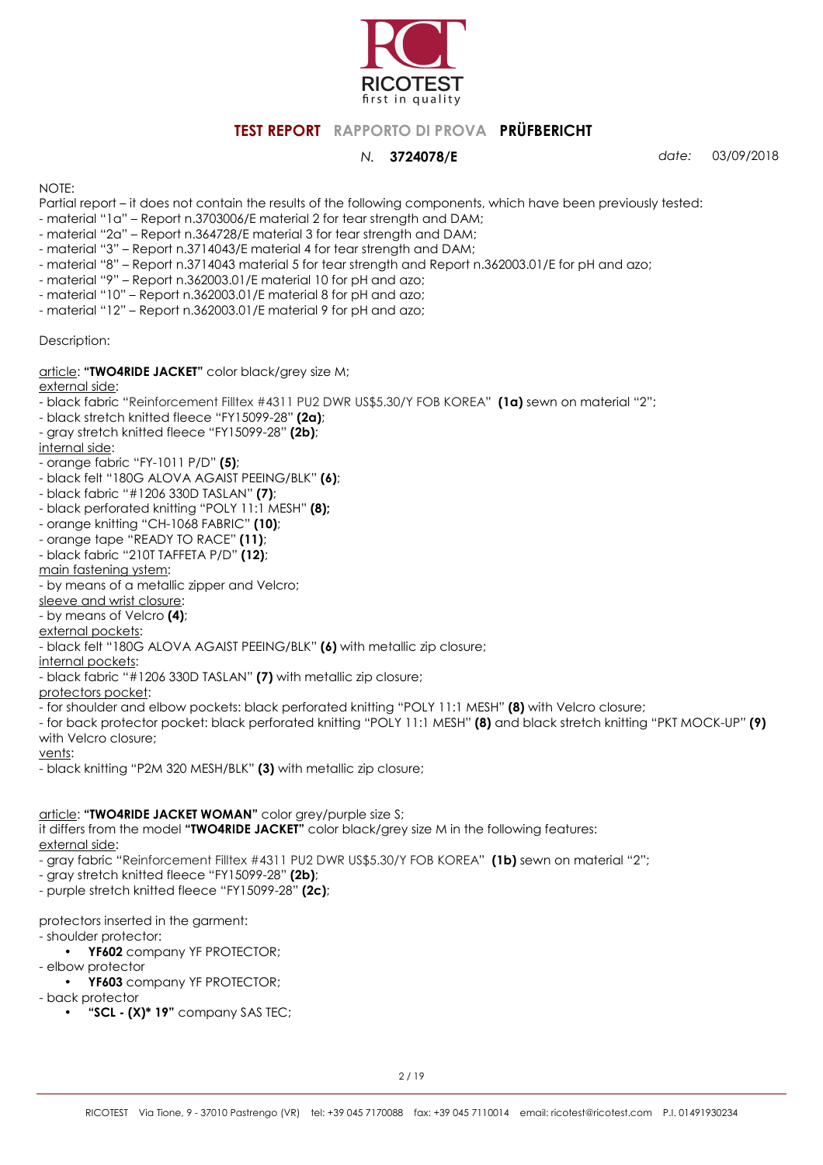

*N.* **3724078/E** *date:* 03/09/2018

NOTE:

Partial report – it does not contain the results of the following components, which have been previously tested:

- material "1a" Report n.3703006/E material 2 for tear strength and DAM;
- material "2a" Report n.364728/E material 3 for tear strength and DAM;
- material "3" Report n.3714043/E material 4 for tear strength and DAM;
- material "8" Report n.3714043 material 5 for tear strength and Report n.362003.01/E for pH and azo;
- material "9" Report n.362003.01/E material 10 for pH and azo;
- material "10" Report n.362003.01/E material 8 for pH and azo;
- material "12" Report n.362003.01/E material 9 for pH and azo;

Description:

article: **"TWO4RIDE JACKET"** color black/grey size M;

external side:

- black fabric "Reinforcement Filltex #4311 PU2 DWR US\$5.30/Y FOB KOREA" **(1a)** sewn on material "2";
- black stretch knitted fleece "FY15099-28" **(2a)**;
- gray stretch knitted fleece "FY15099-28" **(2b)**;

internal side:

- orange fabric "FY-1011 P/D" **(5)**;
- black felt "180G ALOVA AGAIST PEEING/BLK" **(6)**;
- black fabric "#1206 330D TASLAN" **(7)**;
- black perforated knitting "POLY 11:1 MESH" **(8);**
- orange knitting "CH-1068 FABRIC" **(10)**;
- orange tape "READY TO RACE" **(11)**;
- black fabric "210T TAFFETA P/D" **(12)**;

main fastening ystem:

- by means of a metallic zipper and Velcro;
- sleeve and wrist closure:
- by means of Velcro **(4)**;

external pockets:

- black felt "180G ALOVA AGAIST PEEING/BLK" **(6)** with metallic zip closure;
- internal pockets:
- black fabric "#1206 330D TASLAN" **(7)** with metallic zip closure;

protectors pocket:

- for shoulder and elbow pockets: black perforated knitting "POLY 11:1 MESH" **(8)** with Velcro closure;

- for back protector pocket: black perforated knitting "POLY 11:1 MESH" **(8)** and black stretch knitting "PKT MOCK-UP" **(9)**  with Velcro closure;

vents:

- black knitting "P2M 320 MESH/BLK" **(3)** with metallic zip closure;

#### article: **"TWO4RIDE JACKET WOMAN"** color grey/purple size S;

it differs from the model **"TWO4RIDE JACKET"** color black/grey size M in the following features: external side:

- gray fabric "Reinforcement Filltex #4311 PU2 DWR US\$5.30/Y FOB KOREA" **(1b)** sewn on material "2";

- gray stretch knitted fleece "FY15099-28" **(2b)**;

- purple stretch knitted fleece "FY15099-28" **(2c)**;

protectors inserted in the garment:

- shoulder protector:

- **YF602** company YF PROTECTOR;
- elbow protector • **YF603** company YF PROTECTOR;

- back protector
	- **"SCL (X)\* 19"** company SAS TEC;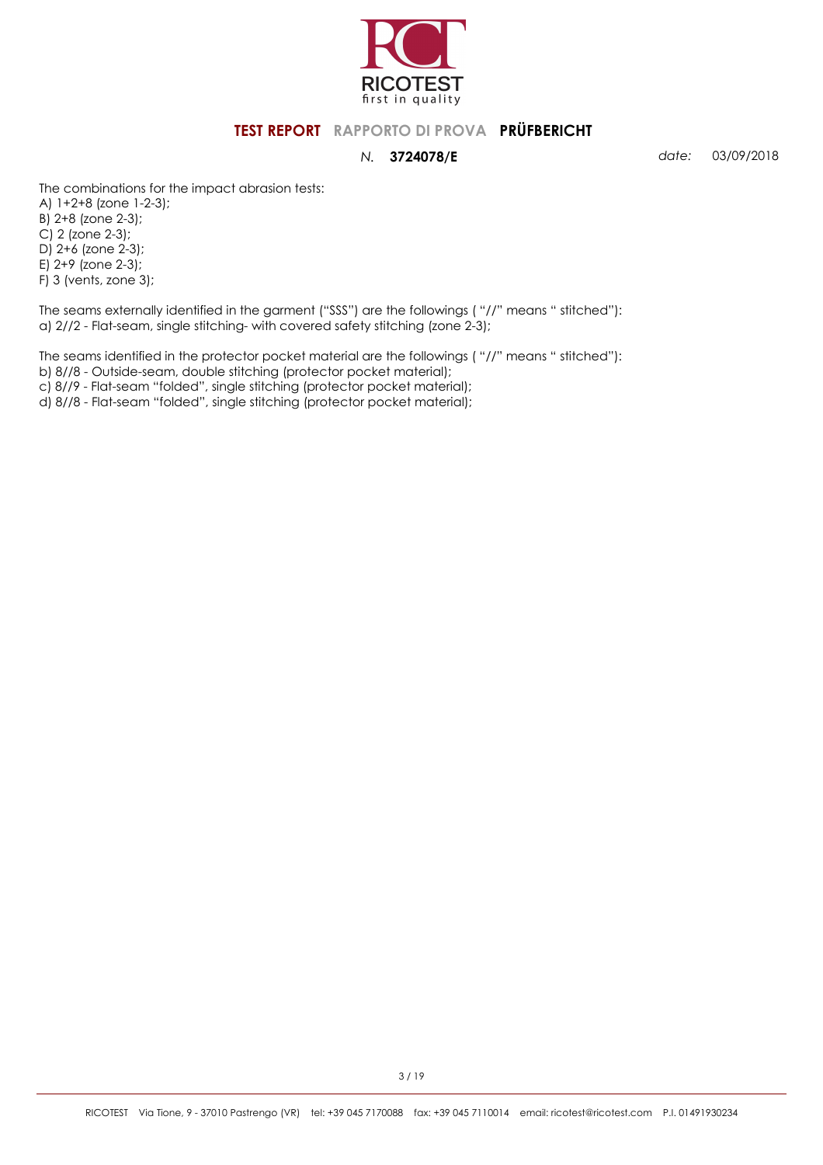

*N.* **3724078/E** *date:* 03/09/2018

The combinations for the impact abrasion tests:

A) 1+2+8 (zone 1-2-3); B) 2+8 (zone 2-3); C) 2 (zone 2-3); D) 2+6 (zone 2-3); E) 2+9 (zone 2-3); F) 3 (vents, zone 3);

The seams externally identified in the garment ("SSS") are the followings ( "//" means " stitched"): a) 2//2 - Flat-seam, single stitching- with covered safety stitching (zone 2-3);

The seams identified in the protector pocket material are the followings ( "//" means " stitched"): b) 8//8 - Outside-seam, double stitching (protector pocket material);

c) 8//9 - Flat-seam "folded", single stitching (protector pocket material);

d) 8//8 - Flat-seam "folded", single stitching (protector pocket material);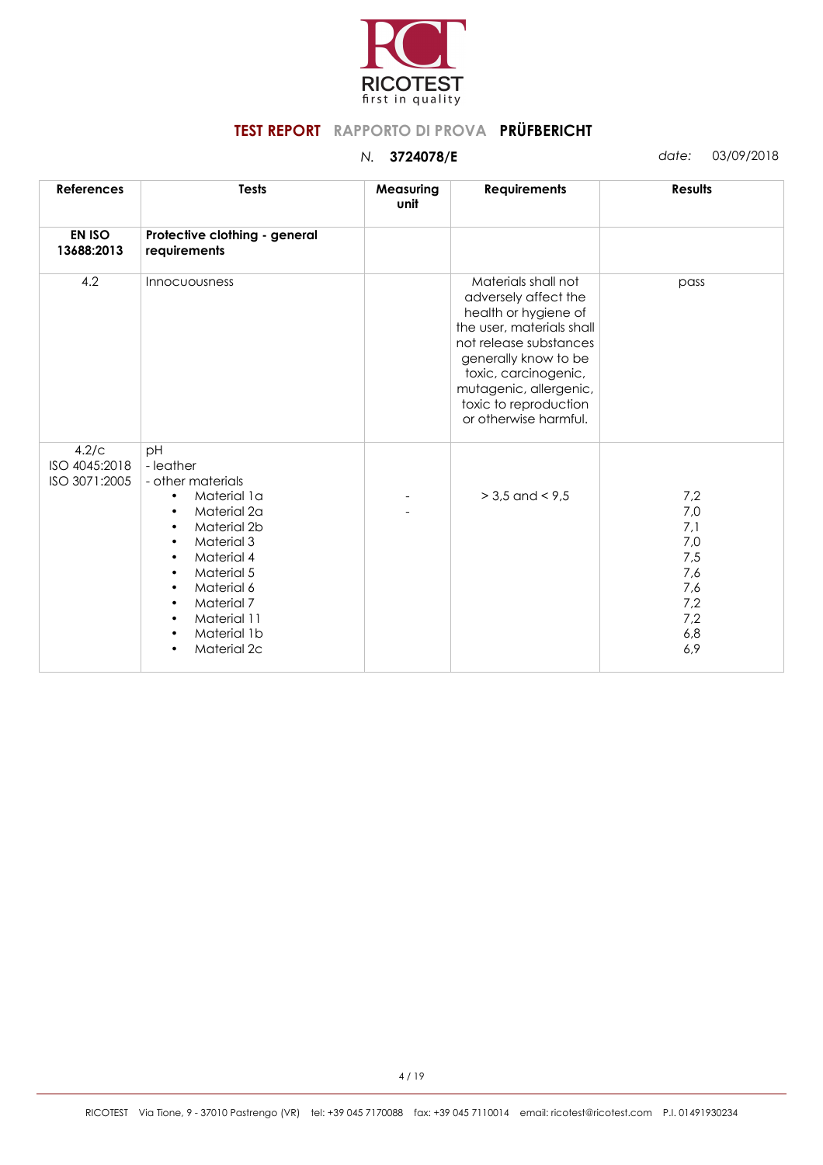

| <b>References</b>                       | <b>Tests</b>                                                                                                                                                                                                                                                                                                                                  | Measuring<br>unit | <b>Requirements</b>                                                                                                                                                                                                                                    | <b>Results</b>                                                              |
|-----------------------------------------|-----------------------------------------------------------------------------------------------------------------------------------------------------------------------------------------------------------------------------------------------------------------------------------------------------------------------------------------------|-------------------|--------------------------------------------------------------------------------------------------------------------------------------------------------------------------------------------------------------------------------------------------------|-----------------------------------------------------------------------------|
| <b>EN ISO</b><br>13688:2013             | Protective clothing - general<br>requirements                                                                                                                                                                                                                                                                                                 |                   |                                                                                                                                                                                                                                                        |                                                                             |
| 4.2                                     | Innocuousness                                                                                                                                                                                                                                                                                                                                 |                   | Materials shall not<br>adversely affect the<br>health or hygiene of<br>the user, materials shall<br>not release substances<br>generally know to be<br>toxic, carcinogenic,<br>mutagenic, allergenic,<br>toxic to reproduction<br>or otherwise harmful. | pass                                                                        |
| 4.2/c<br>ISO 4045:2018<br>ISO 3071:2005 | pH<br>- leather<br>- other materials<br>Material 1a<br>$\bullet$<br>Material 2a<br>$\bullet$<br>Material 2b<br>$\bullet$<br><b>Material 3</b><br>$\bullet$<br>Material 4<br>$\bullet$<br>Material 5<br>$\bullet$<br>Material 6<br>$\bullet$<br>Material 7<br>$\bullet$<br>Material 11<br>$\bullet$<br>Material 1b<br>$\bullet$<br>Material 2c |                   | $> 3.5$ and $< 9.5$                                                                                                                                                                                                                                    | 7,2<br>7,0<br>7,1<br>$7,0$<br>7,5<br>7,6<br>7,6<br>7,2<br>7,2<br>6,8<br>6,9 |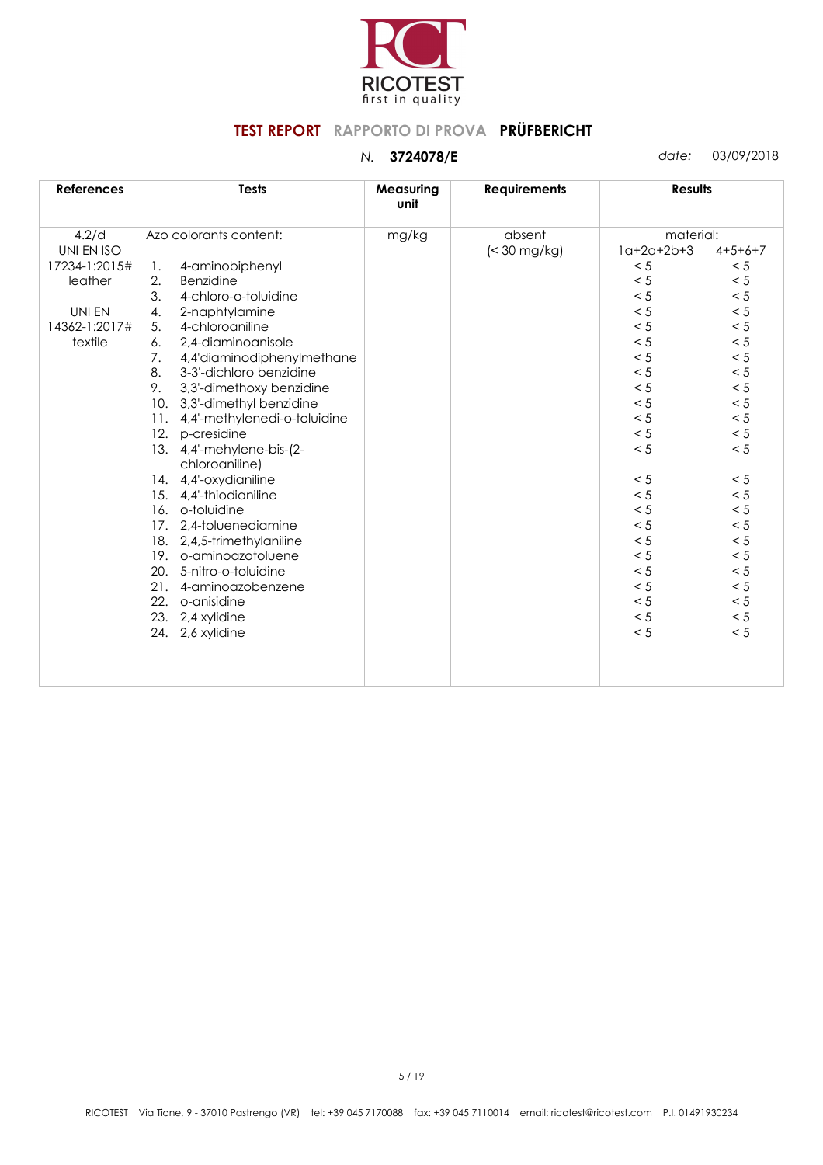

| <b>References</b> | <b>Tests</b>                                | Measuring<br>unit | <b>Requirements</b> | <b>Results</b> |           |
|-------------------|---------------------------------------------|-------------------|---------------------|----------------|-----------|
| 4.2/d             | Azo colorants content:                      | mg/kg             | absent              | material:      |           |
| UNI EN ISO        |                                             |                   | $\approx$ 30 mg/kg) | $1a+2a+2b+3$   | $4+5+6+7$ |
| 17234-1:2015#     | 4-aminobiphenyl<br>1.                       |                   |                     | < 5            | < 5       |
| leather           | Benzidine<br>2.                             |                   |                     | < 5            | < 5       |
|                   | 3.<br>4-chloro-o-toluidine                  |                   |                     | < 5            | < 5       |
| UNI EN            | 4.<br>2-naphtylamine                        |                   |                     | < 5            | < 5       |
| 14362-1:2017#     | 4-chloroaniline<br>5.                       |                   |                     | < 5            | $< 5\,$   |
| textile           | 2,4-diaminoanisole<br>6.                    |                   |                     | < 5            | < 5       |
|                   | 7.<br>4,4'diaminodiphenylmethane            |                   |                     | < 5            | < 5       |
|                   | 3-3'-dichloro benzidine<br>8.               |                   |                     | < 5            | < 5       |
|                   | 9.<br>3,3'-dimethoxy benzidine              |                   |                     | < 5            | $< 5\,$   |
|                   | 10.<br>3,3'-dimethyl benzidine              |                   |                     | < 5            | < 5       |
|                   | 11.<br>4,4'-methylenedi-o-toluidine         |                   |                     | < 5            | $< 5\,$   |
|                   | 12.<br>p-cresidine                          |                   |                     | < 5            | $< 5\,$   |
|                   | 13. 4,4'-mehylene-bis-(2-<br>chloroaniline) |                   |                     | < 5            | $< 5\,$   |
|                   | 14. 4,4'-oxydianiline                       |                   |                     | < 5            | < 5       |
|                   | 15. 4,4'-thiodianiline                      |                   |                     | < 5            | < 5       |
|                   | 16. o-toluidine                             |                   |                     | < 5            | < 5       |
|                   | 17. 2,4-toluenediamine                      |                   |                     | < 5            | $< 5\,$   |
|                   | 18. 2,4,5-trimethylaniline                  |                   |                     | < 5            | < 5       |
|                   | 19. o-aminoazotoluene                       |                   |                     | < 5            | $< 5\,$   |
|                   | 20.<br>5-nitro-o-toluidine                  |                   |                     | < 5            | < 5       |
|                   | 21.<br>4-aminoazobenzene                    |                   |                     | < 5            | < 5       |
|                   | 22.<br>o-anisidine                          |                   |                     | < 5            | < 5       |
|                   | 23. 2,4 xylidine                            |                   |                     | < 5            | < 5       |
|                   | 24. 2,6 xylidine                            |                   |                     | < 5            | < 5       |
|                   |                                             |                   |                     |                |           |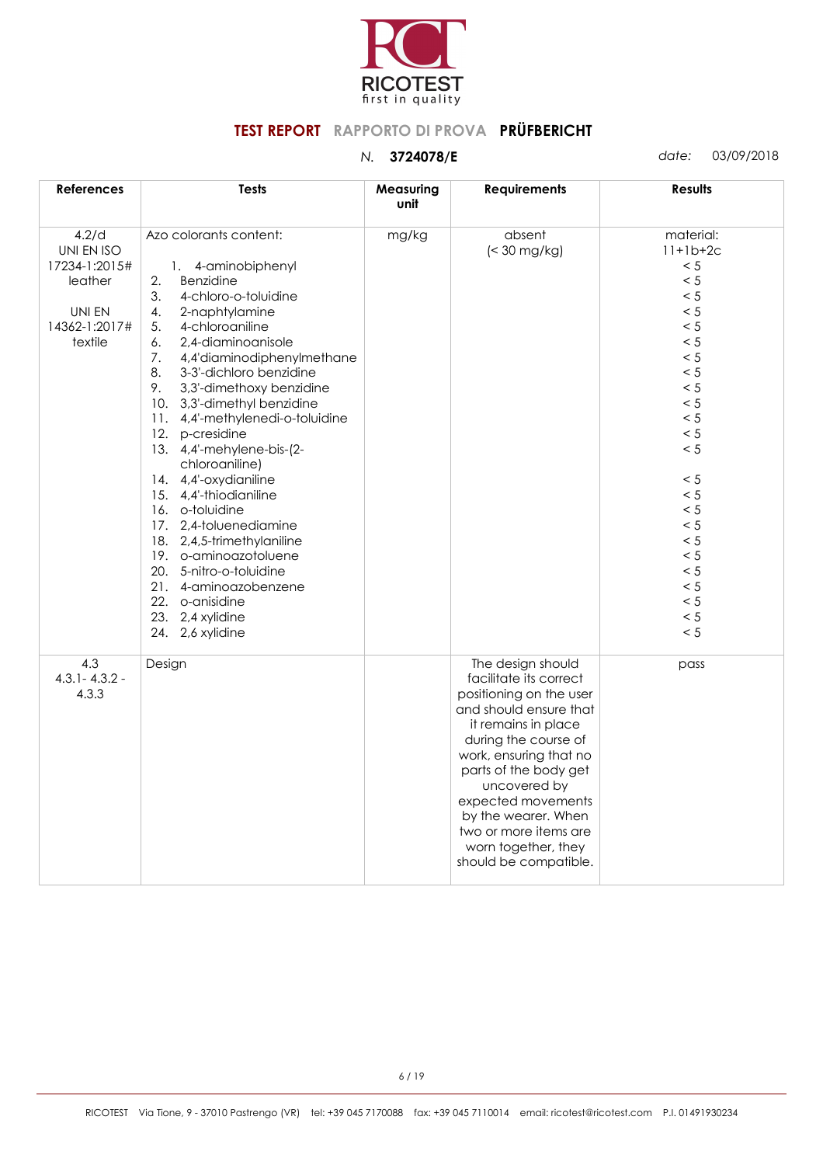

*N.* **3724078/E** *date:* 03/09/2018

| <b>References</b>                                                                     | <b>Tests</b>                                                                                                                                                                                                                                                                                                                                                                                                                                                                                                                                                                                                                                                                                 | Measuring<br>unit | <b>Requirements</b>                                                                                                                                                                                                                                                                                                                      | <b>Results</b>                                                                                                                                                                                  |
|---------------------------------------------------------------------------------------|----------------------------------------------------------------------------------------------------------------------------------------------------------------------------------------------------------------------------------------------------------------------------------------------------------------------------------------------------------------------------------------------------------------------------------------------------------------------------------------------------------------------------------------------------------------------------------------------------------------------------------------------------------------------------------------------|-------------------|------------------------------------------------------------------------------------------------------------------------------------------------------------------------------------------------------------------------------------------------------------------------------------------------------------------------------------------|-------------------------------------------------------------------------------------------------------------------------------------------------------------------------------------------------|
| 4.2/d<br>UNI EN ISO<br>17234-1:2015#<br>leather<br>UNI EN<br>14362-1:2017#<br>textile | Azo colorants content:<br>1. 4-aminobiphenyl<br>2.<br>Benzidine<br>3.<br>4-chloro-o-toluidine<br>2-naphtylamine<br>4.<br>5.<br>4-chloroaniline<br>2.4-diaminoanisole<br>6.<br>4,4'diaminodiphenylmethane<br>7.<br>8.<br>3-3'-dichloro benzidine<br>9.<br>3,3'-dimethoxy benzidine<br>10. 3,3'-dimethyl benzidine<br>11. 4,4'-methylenedi-o-toluidine<br>12. p-cresidine<br>13. 4,4'-mehylene-bis-(2-<br>chloroaniline)<br>14. 4,4'-oxydianiline<br>15. 4,4'-thiodianiline<br>16. o-toluidine<br>17. 2,4-toluenediamine<br>18. 2,4,5-trimethylaniline<br>19. o-aminoazotoluene<br>20. 5-nitro-o-toluidine<br>21. 4-aminoazobenzene<br>22. o-anisidine<br>23. 2,4 xylidine<br>24. 2,6 xylidine | mg/kg             | absent<br>$\approx$ 30 mg/kg)                                                                                                                                                                                                                                                                                                            | material:<br>$11+1b+2c$<br>< 5<br>< 5<br>< 5<br>< 5<br>< 5<br>< 5<br>< 5<br>< 5<br>< 5<br>< 5<br>< 5<br>< 5<br>< 5<br>< 5<br>< 5<br>< 5<br>< 5<br>< 5<br>< 5<br>< 5<br>< 5<br>< 5<br>< 5<br>< 5 |
| 4.3<br>$4.3.1 - 4.3.2 -$<br>4.3.3                                                     | Design                                                                                                                                                                                                                                                                                                                                                                                                                                                                                                                                                                                                                                                                                       |                   | The design should<br>facilitate its correct<br>positioning on the user<br>and should ensure that<br>it remains in place<br>during the course of<br>work, ensuring that no<br>parts of the body get<br>uncovered by<br>expected movements<br>by the wearer. When<br>two or more items are<br>worn together, they<br>should be compatible. | pass                                                                                                                                                                                            |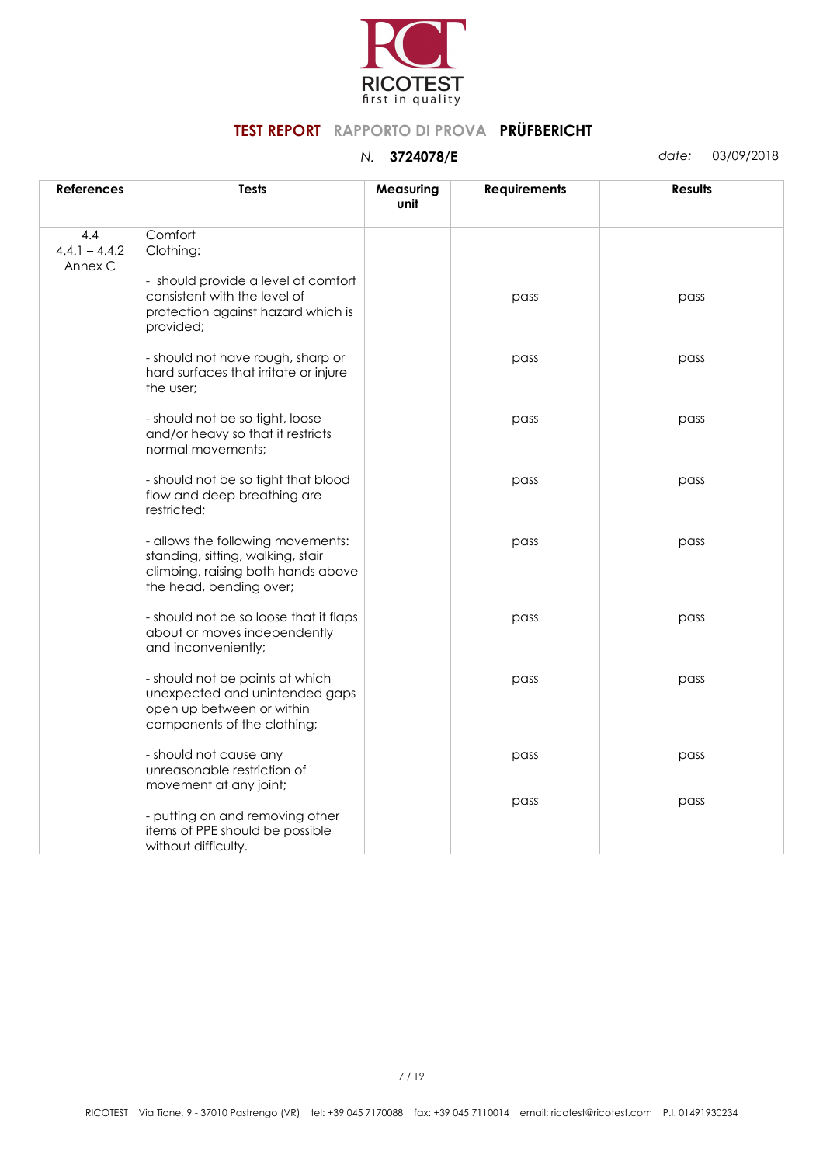

| <b>References</b>                 | <b>Tests</b>                                                                                                                            | Measuring<br>unit | <b>Requirements</b> | <b>Results</b> |
|-----------------------------------|-----------------------------------------------------------------------------------------------------------------------------------------|-------------------|---------------------|----------------|
| 4.4<br>$4.4.1 - 4.4.2$<br>Annex C | Comfort<br>Clothing:                                                                                                                    |                   |                     |                |
|                                   | - should provide a level of comfort<br>consistent with the level of<br>protection against hazard which is<br>provided;                  |                   | pass                | pass           |
|                                   | - should not have rough, sharp or<br>hard surfaces that irritate or injure<br>the user;                                                 |                   | pass                | pass           |
|                                   | - should not be so tight, loose<br>and/or heavy so that it restricts<br>normal movements:                                               |                   | pass                | pass           |
|                                   | - should not be so tight that blood<br>flow and deep breathing are<br>restricted;                                                       |                   | pass                | pass           |
|                                   | - allows the following movements:<br>standing, sitting, walking, stair<br>climbing, raising both hands above<br>the head, bending over; |                   | pass                | pass           |
|                                   | - should not be so loose that it flaps<br>about or moves independently<br>and inconveniently;                                           |                   | pass                | pass           |
|                                   | - should not be points at which<br>unexpected and unintended gaps<br>open up between or within<br>components of the clothing;           |                   | pass                | pass           |
|                                   | - should not cause any<br>unreasonable restriction of<br>movement at any joint;                                                         |                   | pass                | pass           |
|                                   | - putting on and removing other<br>items of PPE should be possible<br>without difficulty.                                               |                   | pass                | pass           |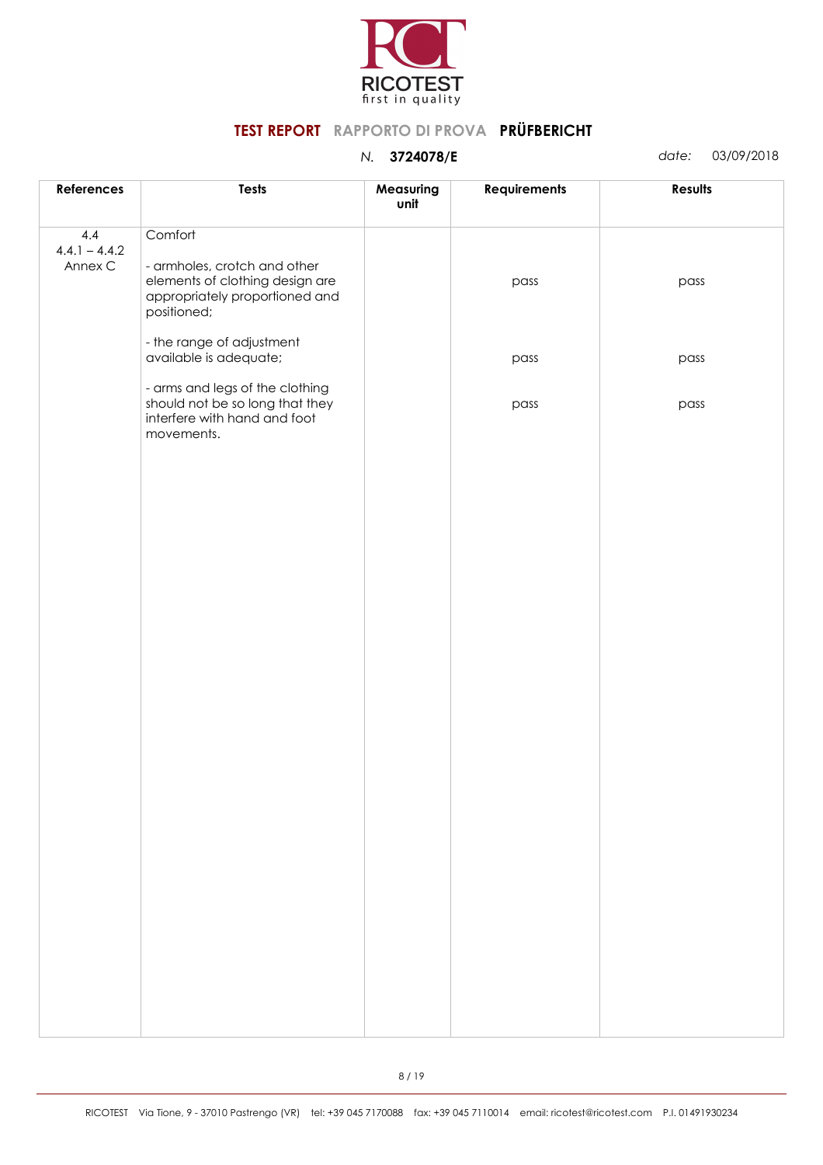

| References                        | <b>Tests</b>                                                                                                                | Measuring<br>unit | <b>Requirements</b> | <b>Results</b> |
|-----------------------------------|-----------------------------------------------------------------------------------------------------------------------------|-------------------|---------------------|----------------|
| 4.4<br>$4.4.1 - 4.4.2$<br>Annex C | Comfort<br>- armholes, crotch and other<br>elements of clothing design are<br>appropriately proportioned and<br>positioned; |                   | pass                | pass           |
|                                   | - the range of adjustment<br>available is adequate;                                                                         |                   | pass                | pass           |
|                                   | - arms and legs of the clothing<br>should not be so long that they<br>interfere with hand and foot<br>movements.            |                   | pass                | pass           |
|                                   |                                                                                                                             |                   |                     |                |
|                                   |                                                                                                                             |                   |                     |                |
|                                   |                                                                                                                             |                   |                     |                |
|                                   |                                                                                                                             |                   |                     |                |
|                                   |                                                                                                                             |                   |                     |                |
|                                   |                                                                                                                             |                   |                     |                |
|                                   |                                                                                                                             |                   |                     |                |
|                                   |                                                                                                                             |                   |                     |                |
|                                   |                                                                                                                             |                   |                     |                |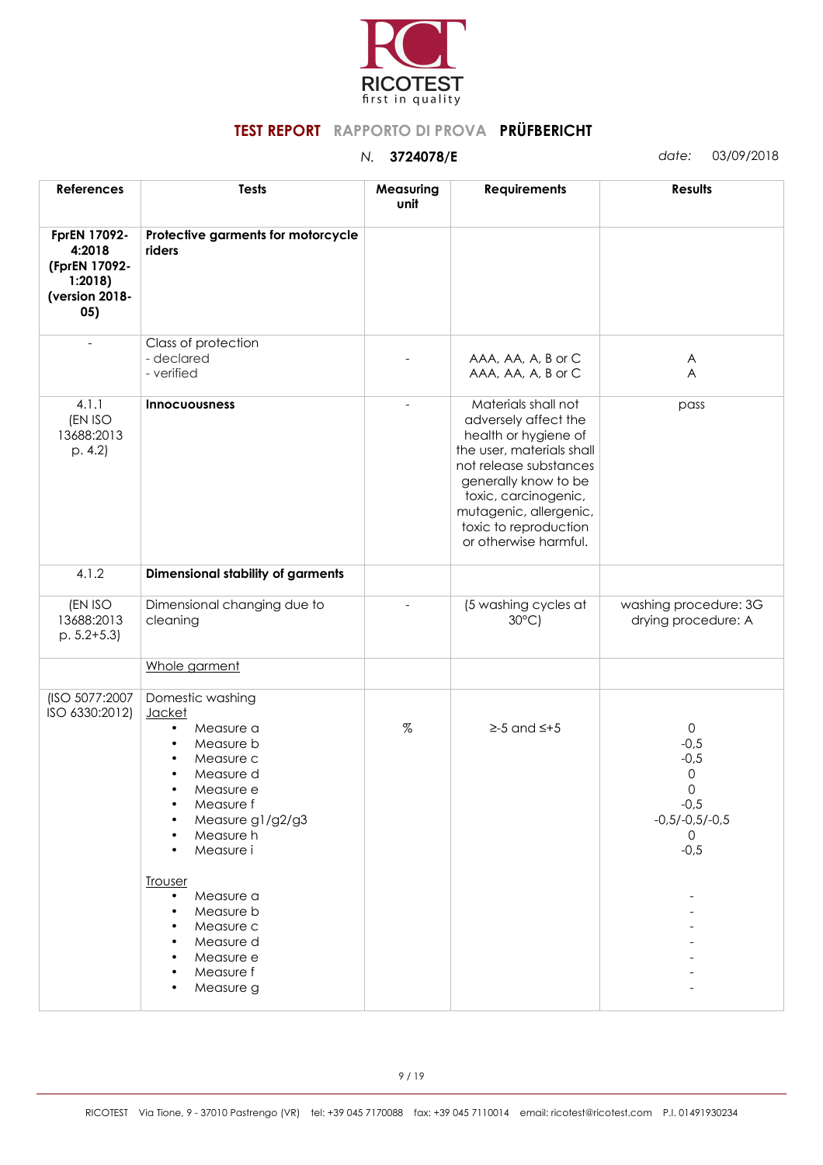

| <b>Tests</b>                                                                                                                                                                                                                                                                                                                                | Measuring<br>unit | <b>Requirements</b>                                                                                                                                                                                                                                    | <b>Results</b>                                                                                     |
|---------------------------------------------------------------------------------------------------------------------------------------------------------------------------------------------------------------------------------------------------------------------------------------------------------------------------------------------|-------------------|--------------------------------------------------------------------------------------------------------------------------------------------------------------------------------------------------------------------------------------------------------|----------------------------------------------------------------------------------------------------|
| Protective garments for motorcycle<br>riders                                                                                                                                                                                                                                                                                                |                   |                                                                                                                                                                                                                                                        |                                                                                                    |
| Class of protection<br>- declared<br>- verified                                                                                                                                                                                                                                                                                             |                   | AAA, AA, A, B or C<br>AAA, AA, A, B or C                                                                                                                                                                                                               | $\mathsf{A}$<br>A                                                                                  |
| <b>Innocuousness</b>                                                                                                                                                                                                                                                                                                                        |                   | Materials shall not<br>adversely affect the<br>health or hygiene of<br>the user, materials shall<br>not release substances<br>generally know to be<br>toxic, carcinogenic,<br>mutagenic, allergenic,<br>toxic to reproduction<br>or otherwise harmful. | pass                                                                                               |
| <b>Dimensional stability of garments</b>                                                                                                                                                                                                                                                                                                    |                   |                                                                                                                                                                                                                                                        |                                                                                                    |
| Dimensional changing due to<br>cleaning                                                                                                                                                                                                                                                                                                     |                   | (5 washing cycles at<br>$30^{\circ}$ C)                                                                                                                                                                                                                | washing procedure: 3G<br>drying procedure: A                                                       |
| Whole garment                                                                                                                                                                                                                                                                                                                               |                   |                                                                                                                                                                                                                                                        |                                                                                                    |
| Domestic washing<br><b>Jacket</b><br>Measure a<br>$\bullet$<br>Measure b<br>$\bullet$<br>Measure c<br>$\bullet$<br>Measure d<br>$\bullet$<br>Measure e<br>Measure f<br>$\bullet$<br>Measure g1/g2/g3<br>Measure h<br>Measure i<br><b>Trouser</b><br>Measure a<br>$\bullet$<br>Measure b<br>Measure c<br>Measure d<br>Measure e<br>Measure f | %                 | $\geq -5$ and $\leq +5$                                                                                                                                                                                                                                | $\mathsf{O}$<br>$-0,5$<br>$-0,5$<br>0<br>0<br>$-0,5$<br>$-0,5/-0,5/-0,5$<br>$\mathsf{O}$<br>$-0,5$ |
|                                                                                                                                                                                                                                                                                                                                             | Measure g         |                                                                                                                                                                                                                                                        |                                                                                                    |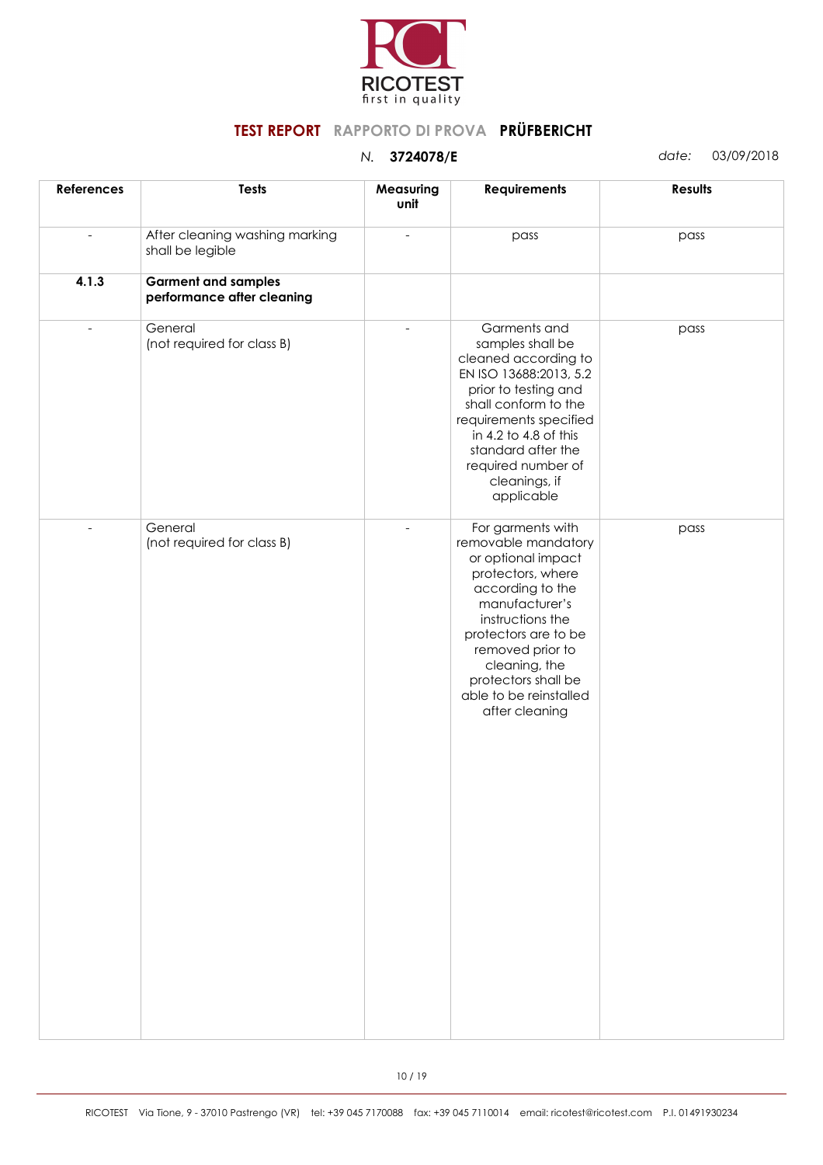

| <b>References</b> | <b>Tests</b>                                             | Measuring<br>unit | <b>Requirements</b>                                                                                                                                                                                                                                                           | Results |
|-------------------|----------------------------------------------------------|-------------------|-------------------------------------------------------------------------------------------------------------------------------------------------------------------------------------------------------------------------------------------------------------------------------|---------|
|                   | After cleaning washing marking<br>shall be legible       |                   | pass                                                                                                                                                                                                                                                                          | pass    |
| 4.1.3             | <b>Garment and samples</b><br>performance after cleaning |                   |                                                                                                                                                                                                                                                                               |         |
| $\overline{a}$    | General<br>(not required for class B)                    |                   | Garments and<br>samples shall be<br>cleaned according to<br>EN ISO 13688:2013, 5.2<br>prior to testing and<br>shall conform to the<br>requirements specified<br>in 4.2 to 4.8 of this<br>standard after the<br>required number of<br>cleanings, if<br>applicable              | pass    |
| $\overline{a}$    | General<br>(not required for class B)                    |                   | For garments with<br>removable mandatory<br>or optional impact<br>protectors, where<br>according to the<br>manufacturer's<br>instructions the<br>protectors are to be<br>removed prior to<br>cleaning, the<br>protectors shall be<br>able to be reinstalled<br>after cleaning | pass    |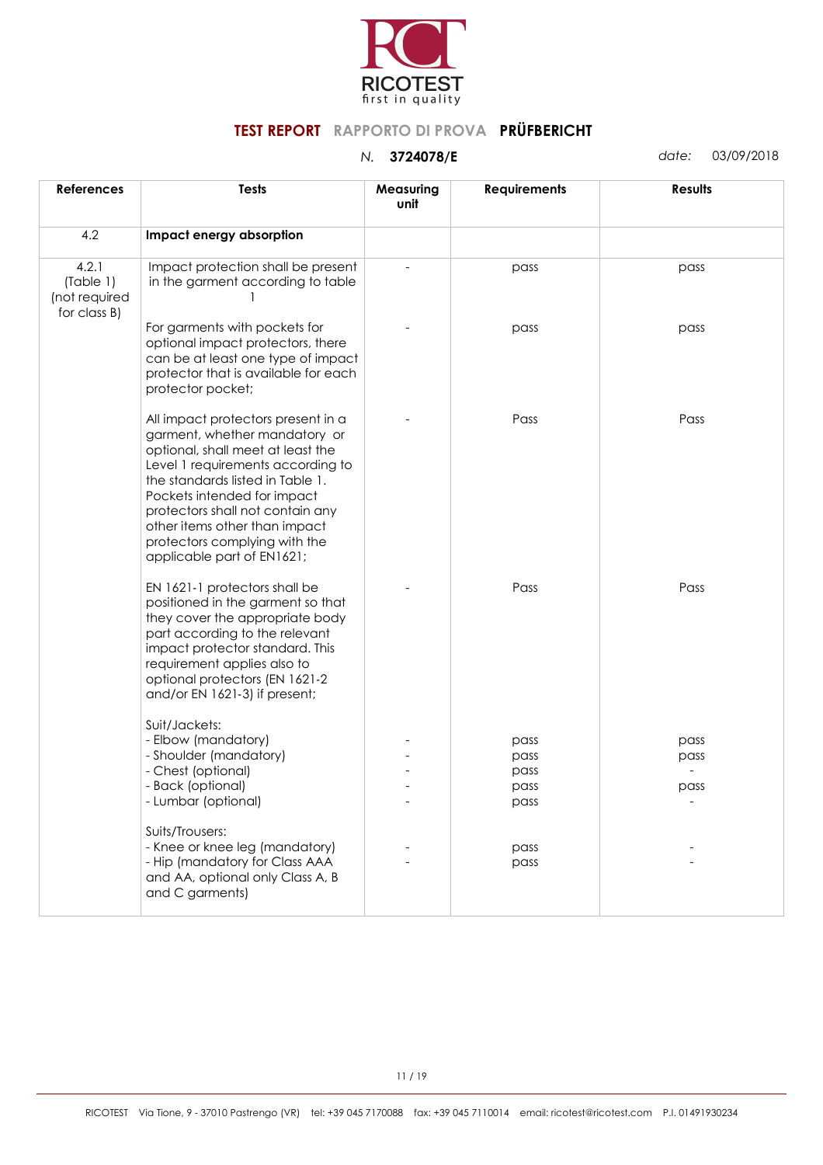

| <b>References</b>                                   | <b>Tests</b>                                                                                                                                                                                                                                                                                                                                         | Measuring<br>unit | <b>Requirements</b>                  | <b>Results</b>       |
|-----------------------------------------------------|------------------------------------------------------------------------------------------------------------------------------------------------------------------------------------------------------------------------------------------------------------------------------------------------------------------------------------------------------|-------------------|--------------------------------------|----------------------|
| 4.2                                                 | Impact energy absorption                                                                                                                                                                                                                                                                                                                             |                   |                                      |                      |
| 4.2.1<br>(Table 1)<br>(not required<br>for class B) | Impact protection shall be present<br>in the garment according to table                                                                                                                                                                                                                                                                              |                   | pass                                 | pass                 |
|                                                     | For garments with pockets for<br>optional impact protectors, there<br>can be at least one type of impact<br>protector that is available for each<br>protector pocket;                                                                                                                                                                                |                   | pass                                 | pass                 |
|                                                     | All impact protectors present in a<br>garment, whether mandatory or<br>optional, shall meet at least the<br>Level 1 requirements according to<br>the standards listed in Table 1.<br>Pockets intended for impact<br>protectors shall not contain any<br>other items other than impact<br>protectors complying with the<br>applicable part of EN1621; |                   | Pass                                 | Pass                 |
|                                                     | EN 1621-1 protectors shall be<br>positioned in the garment so that<br>they cover the appropriate body<br>part according to the relevant<br>impact protector standard. This<br>requirement applies also to<br>optional protectors (EN 1621-2<br>and/or EN 1621-3) if present;                                                                         |                   | Pass                                 | Pass                 |
|                                                     | Suit/Jackets:<br>- Elbow (mandatory)<br>- Shoulder (mandatory)<br>- Chest (optional)<br>- Back (optional)<br>- Lumbar (optional)                                                                                                                                                                                                                     |                   | pass<br>pass<br>pass<br>pass<br>pass | pass<br>pass<br>pass |
|                                                     | Suits/Trousers:<br>- Knee or knee leg (mandatory)<br>- Hip (mandatory for Class AAA<br>and AA, optional only Class A, B<br>and C garments)                                                                                                                                                                                                           |                   | pass<br>pass                         |                      |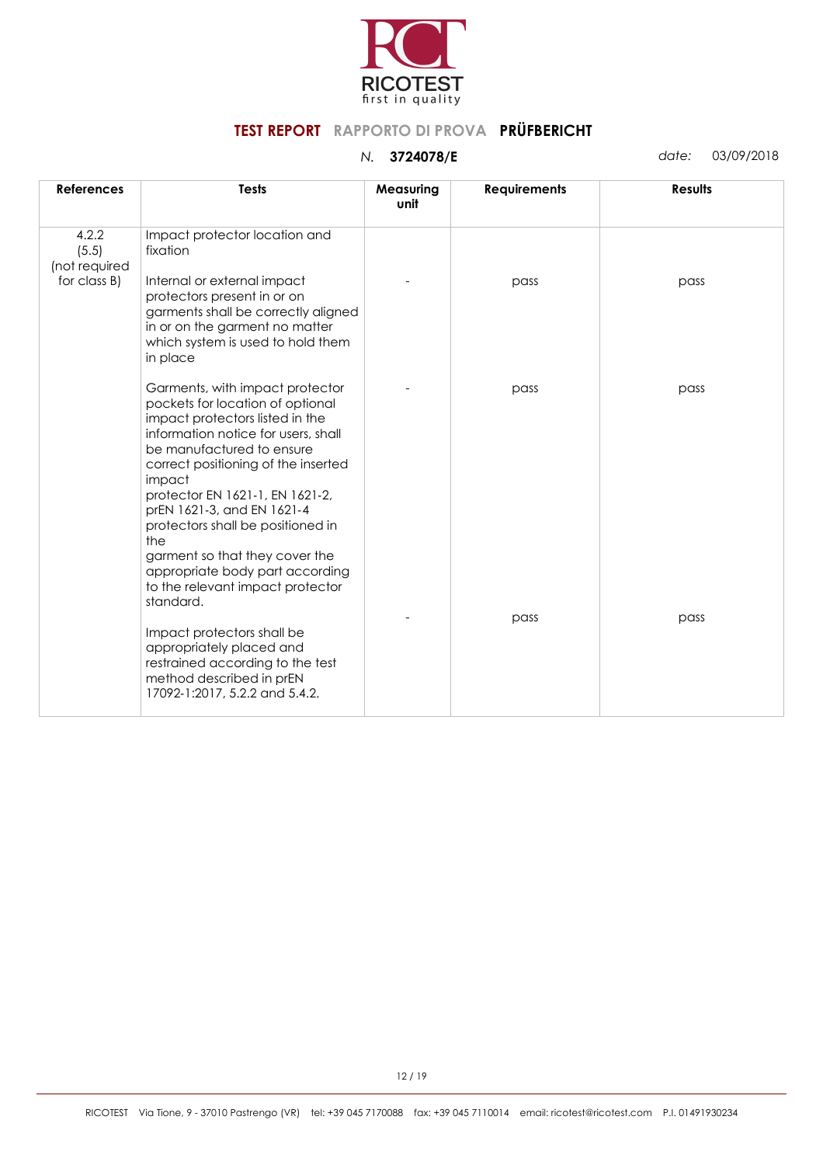

| <b>References</b>               | <b>Tests</b>                                                                                                                                                                                                                                                                                                                                                                                                                                                   | Measuring<br>unit | <b>Requirements</b> | <b>Results</b> |
|---------------------------------|----------------------------------------------------------------------------------------------------------------------------------------------------------------------------------------------------------------------------------------------------------------------------------------------------------------------------------------------------------------------------------------------------------------------------------------------------------------|-------------------|---------------------|----------------|
| 4.2.2<br>(5.5)<br>(not required | Impact protector location and<br>fixation                                                                                                                                                                                                                                                                                                                                                                                                                      |                   |                     |                |
| for class B)                    | Internal or external impact<br>protectors present in or on<br>garments shall be correctly aligned<br>in or on the garment no matter<br>which system is used to hold them<br>in place                                                                                                                                                                                                                                                                           |                   | pass                | pass           |
|                                 | Garments, with impact protector<br>pockets for location of optional<br>impact protectors listed in the<br>information notice for users, shall<br>be manufactured to ensure<br>correct positioning of the inserted<br>impact<br>protector EN 1621-1, EN 1621-2,<br>prEN 1621-3, and EN 1621-4<br>protectors shall be positioned in<br>the<br>garment so that they cover the<br>appropriate body part according<br>to the relevant impact protector<br>standard. |                   | pass                | pass           |
|                                 | Impact protectors shall be<br>appropriately placed and<br>restrained according to the test<br>method described in prEN<br>17092-1:2017, 5.2.2 and 5.4.2.                                                                                                                                                                                                                                                                                                       |                   | pass                | pass           |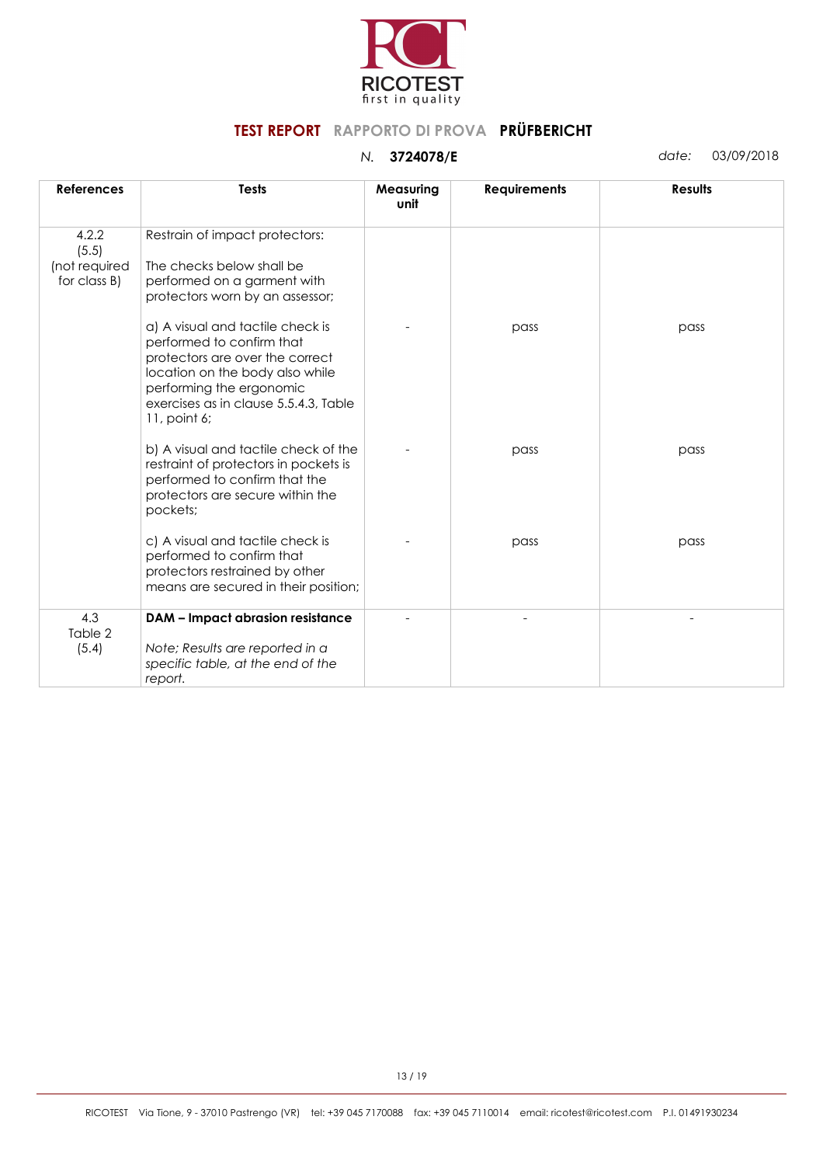

| <b>References</b>                               | <b>Tests</b>                                                                                                                                                                                                             | Measuring<br>unit | <b>Requirements</b> | <b>Results</b> |
|-------------------------------------------------|--------------------------------------------------------------------------------------------------------------------------------------------------------------------------------------------------------------------------|-------------------|---------------------|----------------|
| 4.2.2<br>(5.5)<br>(not required<br>for class B) | Restrain of impact protectors:<br>The checks below shall be<br>performed on a garment with<br>protectors worn by an assessor;                                                                                            |                   |                     |                |
|                                                 | a) A visual and tactile check is<br>performed to confirm that<br>protectors are over the correct<br>location on the body also while<br>performing the ergonomic<br>exercises as in clause 5.5.4.3, Table<br>11, point 6; |                   | pass                | pass           |
|                                                 | b) A visual and tactile check of the<br>restraint of protectors in pockets is<br>performed to confirm that the<br>protectors are secure within the<br>pockets;                                                           |                   | pass                | pass           |
|                                                 | c) A visual and tactile check is<br>performed to confirm that<br>protectors restrained by other<br>means are secured in their position;                                                                                  |                   | pass                | pass           |
| 4.3<br>Table 2<br>(5.4)                         | <b>DAM - Impact abrasion resistance</b><br>Note; Results are reported in a<br>specific table, at the end of the<br>report.                                                                                               |                   |                     |                |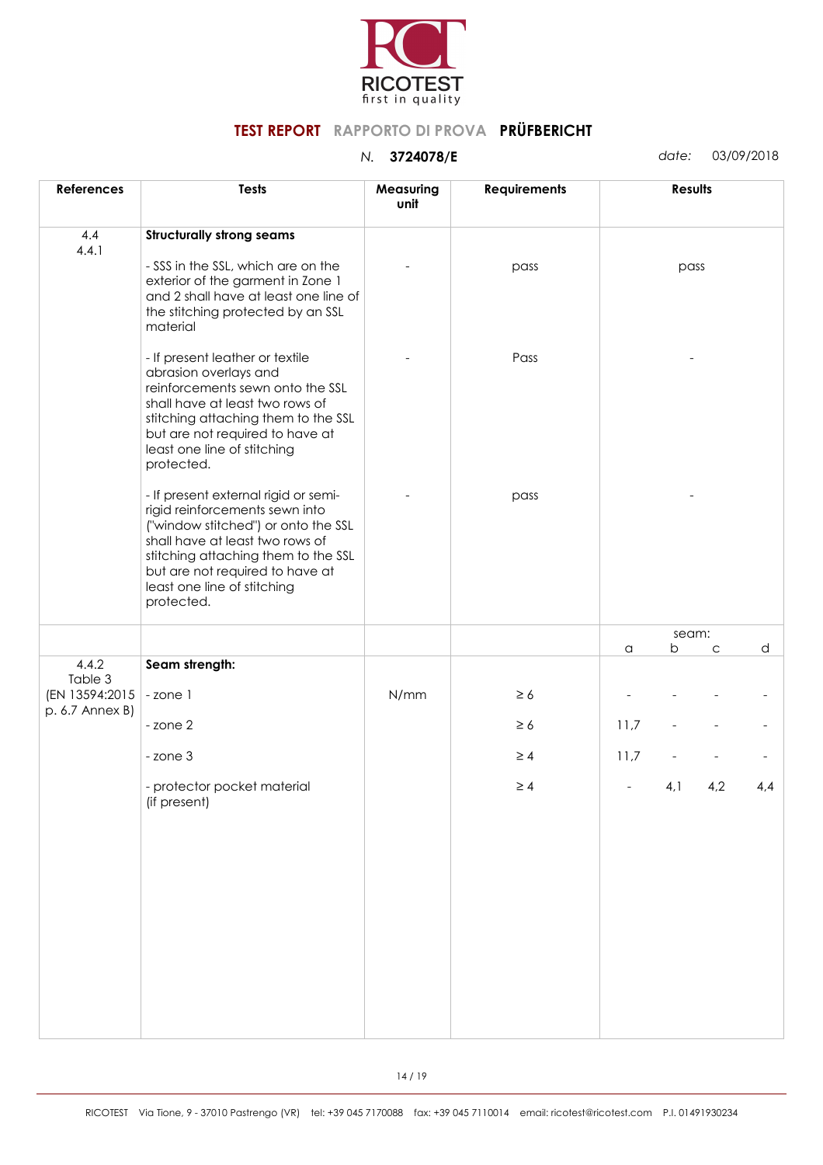

| <b>References</b>                            | <b>Tests</b>                                                                                                                                                                                                                                                            | Measuring<br>unit | <b>Requirements</b> |      | Results |     |     |
|----------------------------------------------|-------------------------------------------------------------------------------------------------------------------------------------------------------------------------------------------------------------------------------------------------------------------------|-------------------|---------------------|------|---------|-----|-----|
| 4.4<br>4.4.1                                 | <b>Structurally strong seams</b>                                                                                                                                                                                                                                        |                   |                     |      |         |     |     |
|                                              | - SSS in the SSL, which are on the<br>exterior of the garment in Zone 1<br>and 2 shall have at least one line of<br>the stitching protected by an SSL<br>material                                                                                                       |                   | pass                |      | pass    |     |     |
|                                              | - If present leather or textile<br>abrasion overlays and<br>reinforcements sewn onto the SSL<br>shall have at least two rows of<br>stitching attaching them to the SSL<br>but are not required to have at<br>least one line of stitching<br>protected.                  |                   | Pass                |      |         |     |     |
|                                              | - If present external rigid or semi-<br>rigid reinforcements sewn into<br>("window stitched") or onto the SSL<br>shall have at least two rows of<br>stitching attaching them to the SSL<br>but are not required to have at<br>least one line of stitching<br>protected. |                   | pass                |      |         |     |     |
|                                              |                                                                                                                                                                                                                                                                         |                   |                     |      | seam:   |     |     |
| 4.4.2                                        | Seam strength:                                                                                                                                                                                                                                                          |                   |                     | a    | b       | C   | d   |
| Table 3<br>(EN 13594:2015<br>p. 6.7 Annex B) | -zone 1                                                                                                                                                                                                                                                                 | N/mm              | $\geq 6$            |      |         |     |     |
|                                              | - zone 2                                                                                                                                                                                                                                                                |                   | $\geq 6$            | 11,7 |         |     |     |
|                                              | - zone 3                                                                                                                                                                                                                                                                |                   | $\geq 4$            | 11,7 |         |     |     |
|                                              | - protector pocket material<br>(if present)                                                                                                                                                                                                                             |                   | $\geq 4$            |      | 4,1     | 4,2 | 4,4 |
|                                              |                                                                                                                                                                                                                                                                         |                   |                     |      |         |     |     |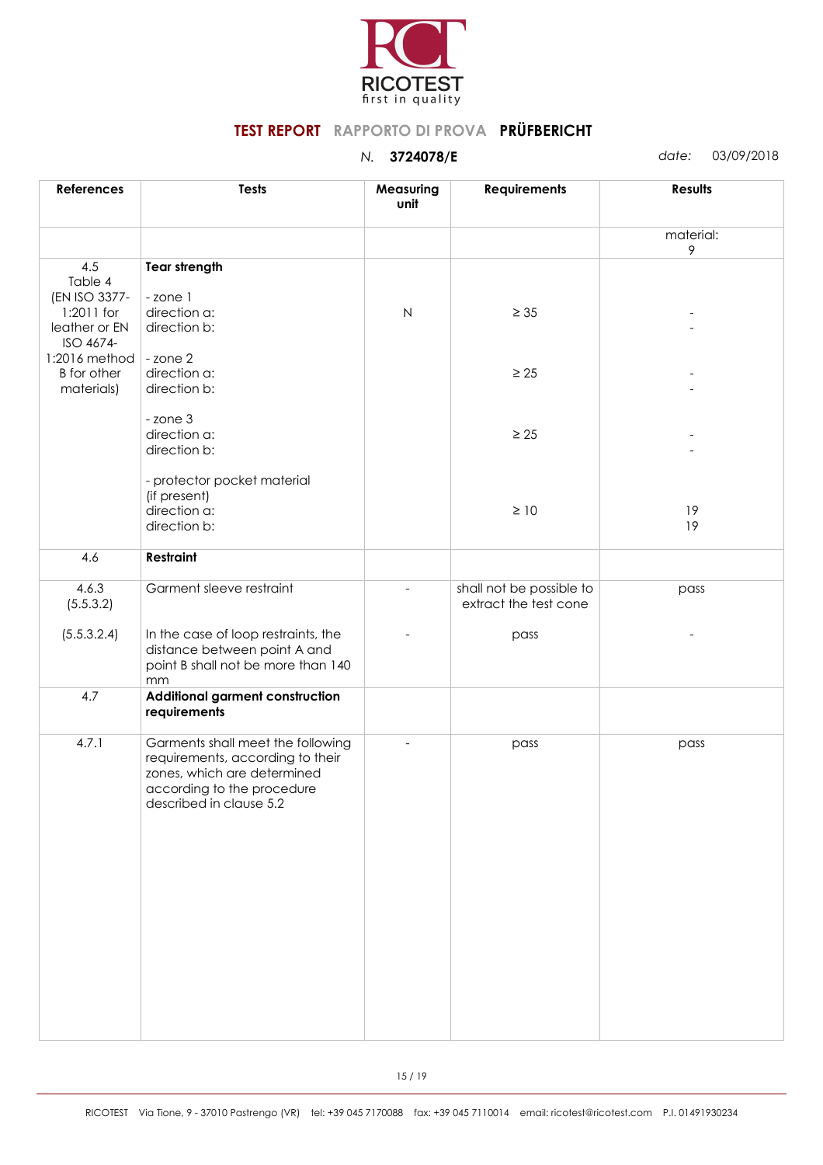

| <b>Tests</b>                                                                                                                                                  | Measuring<br>unit                                  | <b>Requirements</b>                               | Results        |
|---------------------------------------------------------------------------------------------------------------------------------------------------------------|----------------------------------------------------|---------------------------------------------------|----------------|
|                                                                                                                                                               |                                                    |                                                   | material:<br>9 |
| <b>Tear strength</b>                                                                                                                                          |                                                    |                                                   |                |
| -zone 1<br>direction a:                                                                                                                                       | $\mathsf{N}$                                       | $\geq 35$                                         |                |
|                                                                                                                                                               |                                                    |                                                   |                |
| direction a:<br>direction b:                                                                                                                                  |                                                    | $\geq 25$                                         |                |
| - zone 3<br>direction a:<br>direction b:                                                                                                                      |                                                    | $\geq 25$                                         |                |
| - protector pocket material<br>(if present)<br>direction a:                                                                                                   |                                                    | $\geq 10$                                         | 19<br>19       |
| <b>Restraint</b>                                                                                                                                              |                                                    |                                                   |                |
| Garment sleeve restraint                                                                                                                                      |                                                    | shall not be possible to<br>extract the test cone | pass           |
| In the case of loop restraints, the<br>distance between point A and<br>point B shall not be more than 140                                                     |                                                    | pass                                              |                |
| Additional garment construction<br>requirements                                                                                                               |                                                    |                                                   |                |
| Garments shall meet the following<br>requirements, according to their<br>zones, which are determined<br>according to the procedure<br>described in clause 5.2 |                                                    | pass                                              | pass           |
|                                                                                                                                                               | direction b:<br>- zone 2<br>direction b:<br>$\,mm$ |                                                   |                |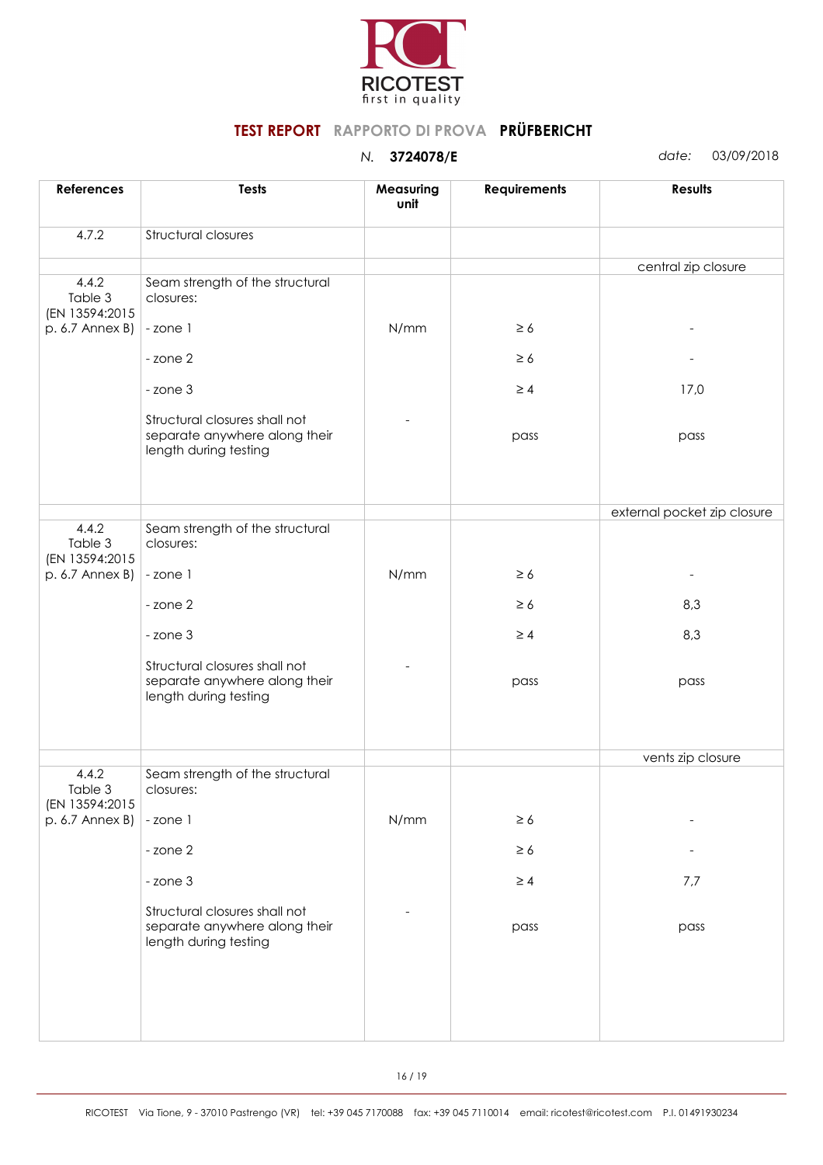

| <b>References</b>                  | <b>Tests</b>                                                                            | Measuring<br>unit | <b>Requirements</b> | <b>Results</b>              |
|------------------------------------|-----------------------------------------------------------------------------------------|-------------------|---------------------|-----------------------------|
| 4.7.2                              | Structural closures                                                                     |                   |                     |                             |
|                                    |                                                                                         |                   |                     | central zip closure         |
| 4.4.2<br>Table 3<br>(EN 13594:2015 | Seam strength of the structural<br>closures:                                            |                   |                     |                             |
| p. 6.7 Annex B)                    | -zone 1                                                                                 | N/mm              | $\geq 6$            |                             |
|                                    | - zone 2                                                                                |                   | $\geq 6$            |                             |
|                                    | - zone 3                                                                                |                   | $\geq 4$            | 17,0                        |
|                                    | Structural closures shall not<br>separate anywhere along their<br>length during testing |                   | pass                | pass                        |
|                                    |                                                                                         |                   |                     |                             |
|                                    |                                                                                         |                   |                     | external pocket zip closure |
| 4.4.2<br>Table 3<br>(EN 13594:2015 | Seam strength of the structural<br>closures:                                            |                   |                     |                             |
| p. 6.7 Annex B)                    | -zone 1                                                                                 | N/mm              | $\geq 6$            |                             |
|                                    | - zone 2                                                                                |                   | $\geq 6$            | 8,3                         |
|                                    | - zone 3                                                                                |                   | $\geq 4$            | 8,3                         |
|                                    | Structural closures shall not<br>separate anywhere along their<br>length during testing |                   | pass                | pass                        |
|                                    |                                                                                         |                   |                     |                             |
|                                    |                                                                                         |                   |                     | vents zip closure           |
| 4.4.2<br>Table 3<br>(EN 13594:2015 | Seam strength of the structural<br>closures:                                            |                   |                     |                             |
| p. 6.7 Annex B)                    | -zone 1                                                                                 | N/mm              | $\geq 6$            |                             |
|                                    | - zone 2                                                                                |                   | $\geq 6$            |                             |
|                                    | - zone 3                                                                                |                   | $\geq 4$            | 7,7                         |
|                                    | Structural closures shall not<br>separate anywhere along their<br>length during testing |                   | pass                | pass                        |
|                                    |                                                                                         |                   |                     |                             |
|                                    |                                                                                         |                   |                     |                             |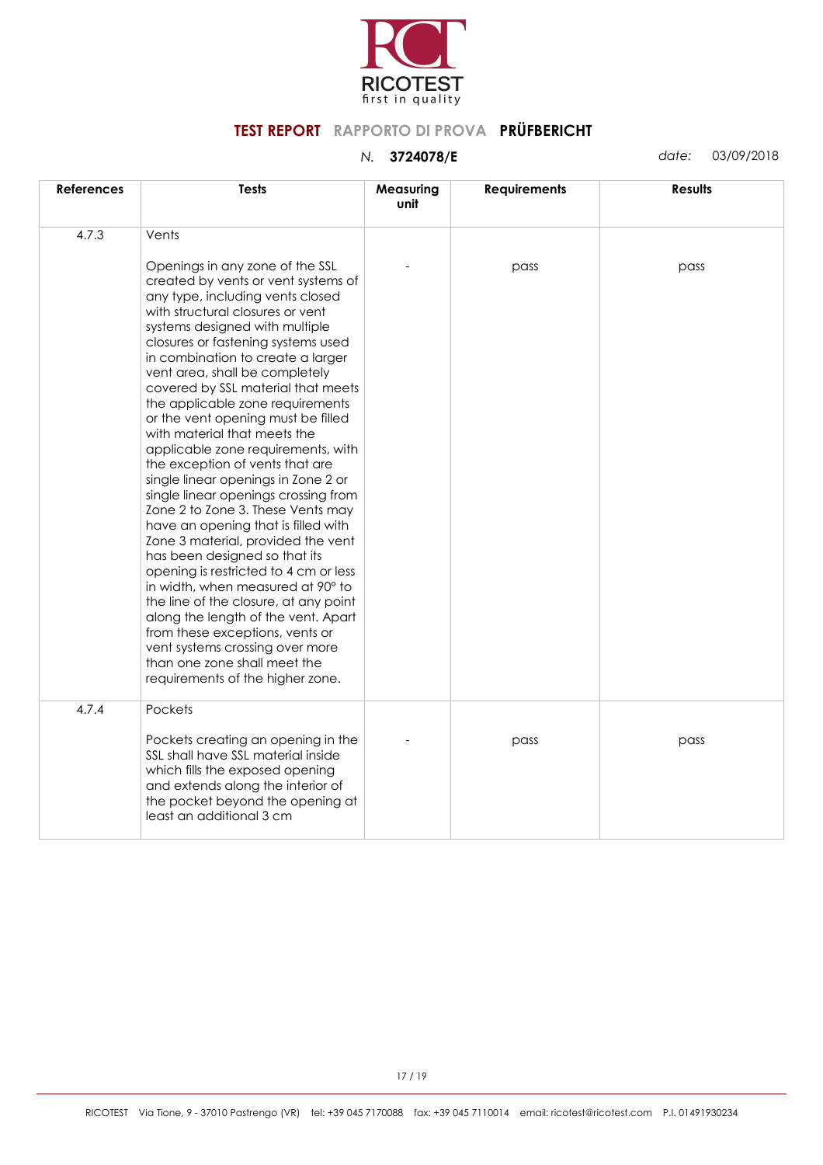

| <b>References</b> | <b>Tests</b>                                                                                                                                                                                                                                                                                                                                                                                                                                                                                                                                                                                                                                                                                                                                                                                                                                                                                                                                                                                                                                                              | Measuring<br>unit | <b>Requirements</b> | <b>Results</b> |
|-------------------|---------------------------------------------------------------------------------------------------------------------------------------------------------------------------------------------------------------------------------------------------------------------------------------------------------------------------------------------------------------------------------------------------------------------------------------------------------------------------------------------------------------------------------------------------------------------------------------------------------------------------------------------------------------------------------------------------------------------------------------------------------------------------------------------------------------------------------------------------------------------------------------------------------------------------------------------------------------------------------------------------------------------------------------------------------------------------|-------------------|---------------------|----------------|
| 4.7.3             | Vents<br>Openings in any zone of the SSL<br>created by vents or vent systems of<br>any type, including vents closed<br>with structural closures or vent<br>systems designed with multiple<br>closures or fastening systems used<br>in combination to create a larger<br>vent area, shall be completely<br>covered by SSL material that meets<br>the applicable zone requirements<br>or the vent opening must be filled<br>with material that meets the<br>applicable zone requirements, with<br>the exception of vents that are<br>single linear openings in Zone 2 or<br>single linear openings crossing from<br>Zone 2 to Zone 3. These Vents may<br>have an opening that is filled with<br>Zone 3 material, provided the vent<br>has been designed so that its<br>opening is restricted to 4 cm or less<br>in width, when measured at 90° to<br>the line of the closure, at any point<br>along the length of the vent. Apart<br>from these exceptions, vents or<br>vent systems crossing over more<br>than one zone shall meet the<br>requirements of the higher zone. |                   | pass                | pass           |
| 4.7.4             | Pockets<br>Pockets creating an opening in the<br>SSL shall have SSL material inside<br>which fills the exposed opening<br>and extends along the interior of<br>the pocket beyond the opening at<br>least an additional 3 cm                                                                                                                                                                                                                                                                                                                                                                                                                                                                                                                                                                                                                                                                                                                                                                                                                                               |                   | pass                | pass           |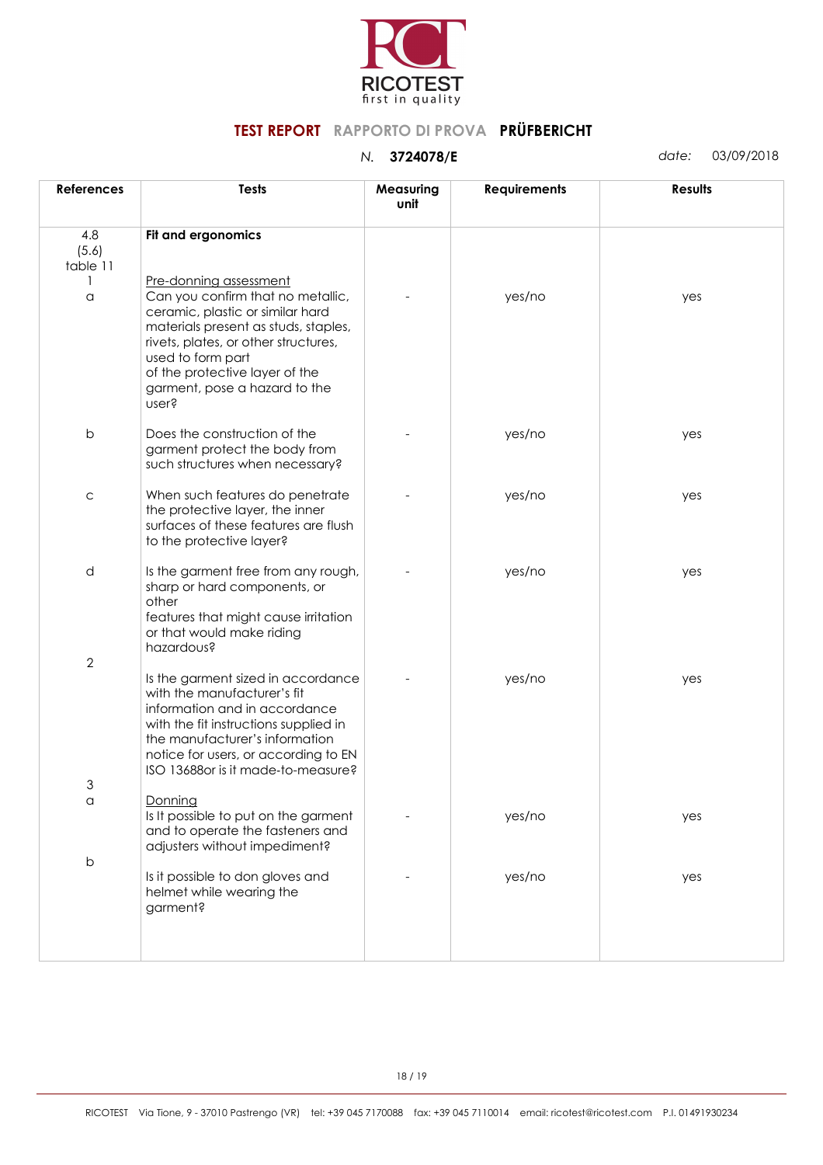

| <b>References</b>        | <b>Tests</b>                                                                                                                                                                                                                                                                     | Measuring<br>unit | <b>Requirements</b> | Results |
|--------------------------|----------------------------------------------------------------------------------------------------------------------------------------------------------------------------------------------------------------------------------------------------------------------------------|-------------------|---------------------|---------|
| 4.8<br>(5.6)<br>table 11 | Fit and ergonomics                                                                                                                                                                                                                                                               |                   |                     |         |
| 1<br>a                   | Pre-donning assessment<br>Can you confirm that no metallic,<br>ceramic, plastic or similar hard<br>materials present as studs, staples,<br>rivets, plates, or other structures,<br>used to form part<br>of the protective layer of the<br>garment, pose a hazard to the<br>user? |                   | yes/no              | yes     |
| $\mathsf b$              | Does the construction of the<br>garment protect the body from<br>such structures when necessary?                                                                                                                                                                                 |                   | yes/no              | yes     |
| $\mathsf C$              | When such features do penetrate<br>the protective layer, the inner<br>surfaces of these features are flush<br>to the protective layer?                                                                                                                                           |                   | yes/no              | yes     |
| d                        | Is the garment free from any rough,<br>sharp or hard components, or<br>other<br>features that might cause irritation<br>or that would make riding<br>hazardous?                                                                                                                  |                   | yes/no              | yes     |
| $\mathbf{2}$             | Is the garment sized in accordance<br>with the manufacturer's fit<br>information and in accordance<br>with the fit instructions supplied in<br>the manufacturer's information<br>notice for users, or according to EN<br>ISO 13688 or is it made-to-measure?                     |                   | yes/no              | yes     |
| 3                        |                                                                                                                                                                                                                                                                                  |                   |                     |         |
| $\alpha$                 | Donning<br>Is It possible to put on the garment<br>and to operate the fasteners and<br>adjusters without impediment?                                                                                                                                                             |                   | yes/no              | yes     |
| $\mathsf b$              | Is it possible to don gloves and<br>helmet while wearing the<br>garment?                                                                                                                                                                                                         |                   | yes/no              | yes     |